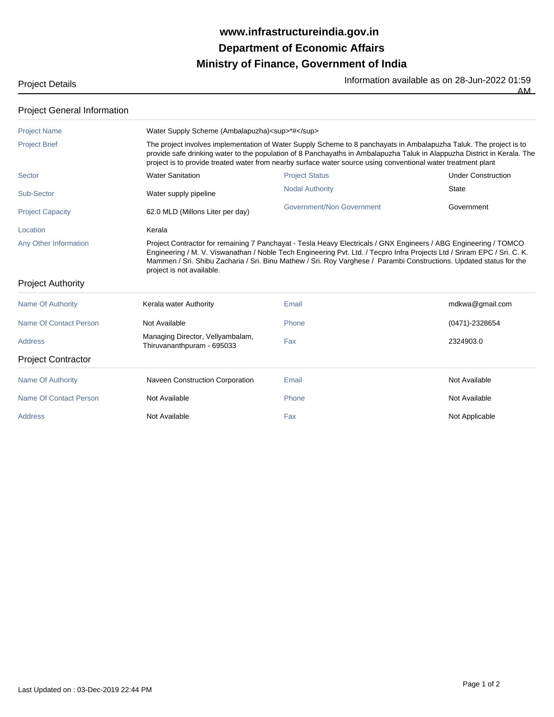## **Ministry of Finance, Government of India Department of Economic Affairs www.infrastructureindia.gov.in**

Project Details **Information available as on 28-Jun-2022 01:59** AM

| <b>Project General Information</b>                       |                                                                                                                                                                                                                                                                                                                                                                 |                                                                                                                                                                                                                                                                                                                                                                     |                           |  |
|----------------------------------------------------------|-----------------------------------------------------------------------------------------------------------------------------------------------------------------------------------------------------------------------------------------------------------------------------------------------------------------------------------------------------------------|---------------------------------------------------------------------------------------------------------------------------------------------------------------------------------------------------------------------------------------------------------------------------------------------------------------------------------------------------------------------|---------------------------|--|
| <b>Project Name</b>                                      | Water Supply Scheme (Ambalapuzha) <sup>*#</sup>                                                                                                                                                                                                                                                                                                                 |                                                                                                                                                                                                                                                                                                                                                                     |                           |  |
| <b>Project Brief</b>                                     | The project involves implementation of Water Supply Scheme to 8 panchayats in Ambalapuzha Taluk. The project is to<br>provide safe drinking water to the population of 8 Panchayaths in Ambalapuzha Taluk in Alappuzha District in Kerala. The<br>project is to provide treated water from nearby surface water source using conventional water treatment plant |                                                                                                                                                                                                                                                                                                                                                                     |                           |  |
| <b>Sector</b>                                            | <b>Water Sanitation</b>                                                                                                                                                                                                                                                                                                                                         | <b>Project Status</b>                                                                                                                                                                                                                                                                                                                                               | <b>Under Construction</b> |  |
| Sub-Sector                                               | Water supply pipeline                                                                                                                                                                                                                                                                                                                                           | <b>Nodal Authority</b>                                                                                                                                                                                                                                                                                                                                              | <b>State</b>              |  |
| <b>Project Capacity</b>                                  | 62.0 MLD (Millons Liter per day)                                                                                                                                                                                                                                                                                                                                | Government/Non Government                                                                                                                                                                                                                                                                                                                                           | Government                |  |
| Location                                                 | Kerala                                                                                                                                                                                                                                                                                                                                                          |                                                                                                                                                                                                                                                                                                                                                                     |                           |  |
| <b>Any Other Information</b><br><b>Project Authority</b> | project is not available.                                                                                                                                                                                                                                                                                                                                       | Project Contractor for remaining 7 Panchayat - Tesla Heavy Electricals / GNX Engineers / ABG Engineering / TOMCO<br>Engineering / M. V. Viswanathan / Noble Tech Engineering Pvt. Ltd. / Tecpro Infra Projects Ltd / Sriram EPC / Sri. C. K.<br>Mammen / Sri. Shibu Zacharia / Sri. Binu Mathew / Sri. Roy Varghese / Parambi Constructions. Updated status for the |                           |  |
| <b>Name Of Authority</b>                                 | Kerala water Authority                                                                                                                                                                                                                                                                                                                                          | Email                                                                                                                                                                                                                                                                                                                                                               | mdkwa@gmail.com           |  |
| <b>Name Of Contact Person</b>                            | Not Available                                                                                                                                                                                                                                                                                                                                                   | Phone                                                                                                                                                                                                                                                                                                                                                               | (0471)-2328654            |  |
| Address                                                  | Managing Director, Vellyambalam,<br>Thiruvananthpuram - 695033                                                                                                                                                                                                                                                                                                  | Fax                                                                                                                                                                                                                                                                                                                                                                 | 2324903.0                 |  |
| <b>Project Contractor</b>                                |                                                                                                                                                                                                                                                                                                                                                                 |                                                                                                                                                                                                                                                                                                                                                                     |                           |  |
| <b>Name Of Authority</b>                                 | Naveen Construction Corporation                                                                                                                                                                                                                                                                                                                                 | Email                                                                                                                                                                                                                                                                                                                                                               | Not Available             |  |
| Name Of Contact Person                                   | Not Available                                                                                                                                                                                                                                                                                                                                                   | Phone                                                                                                                                                                                                                                                                                                                                                               | Not Available             |  |
| <b>Address</b>                                           | Not Available                                                                                                                                                                                                                                                                                                                                                   | Fax                                                                                                                                                                                                                                                                                                                                                                 | Not Applicable            |  |